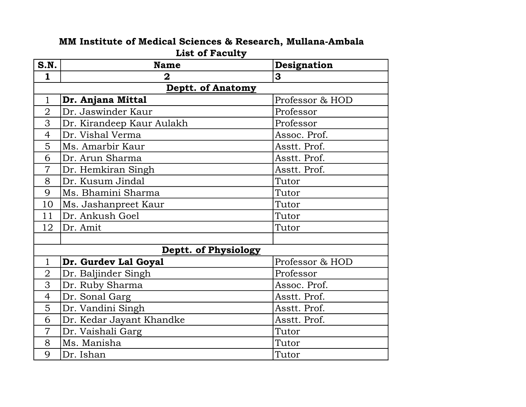## MM Institute of Medical Sciences & Research, Mullana-Ambala List of Faculty

| S.N.           | <b>Name</b>               | Designation     |
|----------------|---------------------------|-----------------|
| $\mathbf{1}$   | $\overline{\mathbf{2}}$   | 3               |
|                | <b>Deptt. of Anatomy</b>  |                 |
| $\mathbf{1}$   | Dr. Anjana Mittal         | Professor & HOD |
| $\overline{2}$ | Dr. Jaswinder Kaur        | Professor       |
| 3              | Dr. Kirandeep Kaur Aulakh | Professor       |
| $\overline{4}$ | Dr. Vishal Verma          | Assoc. Prof.    |
| 5              | Ms. Amarbir Kaur          | Asstt. Prof.    |
| 6              | Dr. Arun Sharma           | Asstt. Prof.    |
| $\overline{7}$ | Dr. Hemkiran Singh        | Asstt. Prof.    |
| 8              | Dr. Kusum Jindal          | Tutor           |
| 9              | Ms. Bhamini Sharma        | Tutor           |
| 10             | Ms. Jashanpreet Kaur      | Tutor           |
| 11             | Dr. Ankush Goel           | Tutor           |
| 12             | Dr. Amit                  | Tutor           |
|                |                           |                 |
|                | Deptt. of Physiology      |                 |
| $\mathbf{1}$   | Dr. Gurdev Lal Goyal      | Professor & HOD |
| $\overline{2}$ | Dr. Baljinder Singh       | Professor       |
| 3              | Dr. Ruby Sharma           | Assoc. Prof.    |
| $\overline{4}$ | Dr. Sonal Garg            | Asstt. Prof.    |
| 5              | Dr. Vandini Singh         | Asstt. Prof.    |
| 6              | Dr. Kedar Jayant Khandke  | Asstt. Prof.    |
| $\overline{7}$ | Dr. Vaishali Garg         | Tutor           |
| 8              | Ms. Manisha               | Tutor           |
| 9              | Dr. Ishan                 | Tutor           |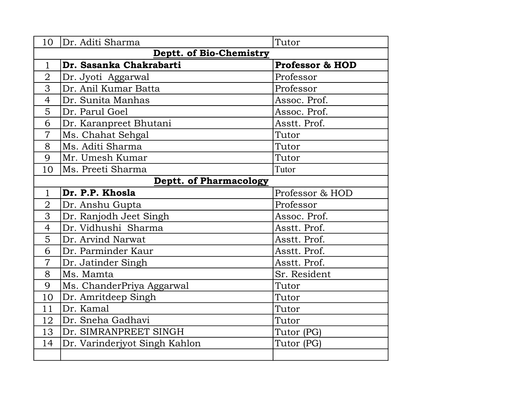| 10                             | Dr. Aditi Sharma              | Tutor                      |  |
|--------------------------------|-------------------------------|----------------------------|--|
| <b>Deptt. of Bio-Chemistry</b> |                               |                            |  |
| $\mathbf{1}$                   | Dr. Sasanka Chakrabarti       | <b>Professor &amp; HOD</b> |  |
| $\overline{2}$                 | Dr. Jyoti Aggarwal            | Professor                  |  |
| 3                              | Dr. Anil Kumar Batta          | Professor                  |  |
| $\overline{4}$                 | Dr. Sunita Manhas             | Assoc. Prof.               |  |
| 5                              | Dr. Parul Goel                | Assoc. Prof.               |  |
| 6                              | Dr. Karanpreet Bhutani        | Asstt. Prof.               |  |
| $\overline{7}$                 | Ms. Chahat Sehgal             | Tutor                      |  |
| 8                              | Ms. Aditi Sharma              | Tutor                      |  |
| 9                              | Mr. Umesh Kumar               | Tutor                      |  |
| 10                             | Ms. Preeti Sharma             | Tutor                      |  |
|                                | <b>Deptt. of Pharmacology</b> |                            |  |
| $\mathbf{1}$                   | Dr. P.P. Khosla               | Professor & HOD            |  |
| $\overline{2}$                 | Dr. Anshu Gupta               | Professor                  |  |
| 3                              | Dr. Ranjodh Jeet Singh        | Assoc. Prof.               |  |
| $\overline{4}$                 | Dr. Vidhushi Sharma           | Asstt. Prof.               |  |
| 5                              | Dr. Arvind Narwat             | Asstt. Prof.               |  |
| 6                              | Dr. Parminder Kaur            | Asstt. Prof.               |  |
| $\overline{7}$                 | Dr. Jatinder Singh            | Asstt. Prof.               |  |
| 8                              | Ms. Mamta                     | Sr. Resident               |  |
| 9                              | Ms. ChanderPriya Aggarwal     | Tutor                      |  |
| 10                             | Dr. Amritdeep Singh           | Tutor                      |  |
| 11                             | Dr. Kamal                     | Tutor                      |  |
| 12                             | Dr. Sneha Gadhavi             | Tutor                      |  |
| 13                             | Dr. SIMRANPREET SINGH         | Tutor (PG)                 |  |
| 14                             | Dr. Varinderjyot Singh Kahlon | Tutor (PG)                 |  |
|                                |                               |                            |  |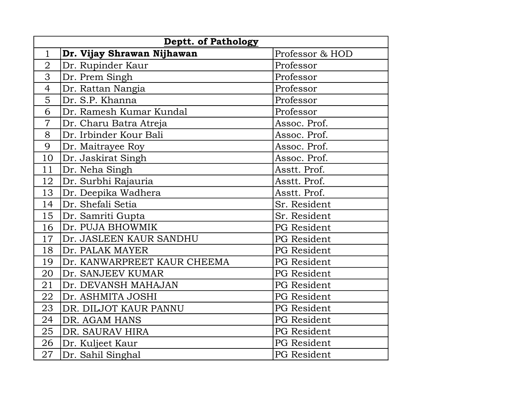| <b>Deptt. of Pathology</b> |                             |                    |
|----------------------------|-----------------------------|--------------------|
| $\mathbf{1}$               | Dr. Vijay Shrawan Nijhawan  | Professor & HOD    |
| $\overline{2}$             | Dr. Rupinder Kaur           | Professor          |
| 3                          | Dr. Prem Singh              | Professor          |
| $\overline{4}$             | Dr. Rattan Nangia           | Professor          |
| 5                          | Dr. S.P. Khanna             | Professor          |
| 6                          | Dr. Ramesh Kumar Kundal     | Professor          |
| $\overline{7}$             | Dr. Charu Batra Atreja      | Assoc. Prof.       |
| 8                          | Dr. Irbinder Kour Bali      | Assoc. Prof.       |
| 9                          | Dr. Maitrayee Roy           | Assoc. Prof.       |
| 10                         | Dr. Jaskirat Singh          | Assoc. Prof.       |
| 11                         | Dr. Neha Singh              | Asstt. Prof.       |
| 12                         | Dr. Surbhi Rajauria         | Asstt. Prof.       |
| 13                         | Dr. Deepika Wadhera         | Asstt. Prof.       |
| 14                         | Dr. Shefali Setia           | Sr. Resident       |
| 15                         | Dr. Samriti Gupta           | Sr. Resident       |
| 16                         | Dr. PUJA BHOWMIK            | <b>PG</b> Resident |
| 17                         | Dr. JASLEEN KAUR SANDHU     | PG Resident        |
| 18                         | Dr. PALAK MAYER             | PG Resident        |
| 19                         | Dr. KANWARPREET KAUR CHEEMA | PG Resident        |
| 20                         | Dr. SANJEEV KUMAR           | PG Resident        |
| 21                         | Dr. DEVANSH MAHAJAN         | PG Resident        |
| 22                         | Dr. ASHMITA JOSHI           | <b>PG</b> Resident |
| 23                         | DR. DILJOT KAUR PANNU       | <b>PG</b> Resident |
| 24                         | DR. AGAM HANS               | PG Resident        |
| 25                         | DR. SAURAV HIRA             | PG Resident        |
| 26                         | Dr. Kuljeet Kaur            | PG Resident        |
| 27                         | Dr. Sahil Singhal           | PG Resident        |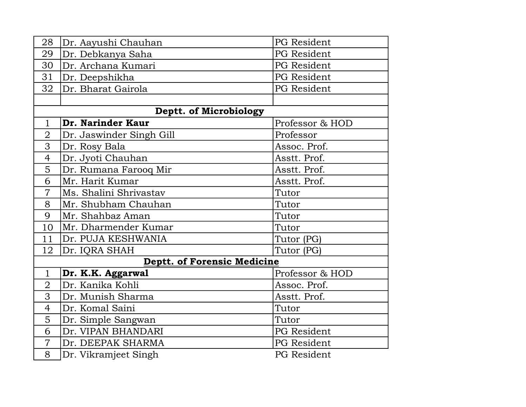| 28             | Dr. Aayushi Chauhan                | PG Resident        |
|----------------|------------------------------------|--------------------|
| 29             | Dr. Debkanya Saha                  | <b>PG</b> Resident |
| 30             | Dr. Archana Kumari                 | <b>PG</b> Resident |
| 31             | Dr. Deepshikha                     | PG Resident        |
| 32             | Dr. Bharat Gairola                 | <b>PG</b> Resident |
|                |                                    |                    |
|                | Deptt. of Microbiology             |                    |
| $\mathbf{1}$   | Dr. Narinder Kaur                  | Professor & HOD    |
| $\overline{2}$ | Dr. Jaswinder Singh Gill           | Professor          |
| 3              | Dr. Rosy Bala                      | Assoc. Prof.       |
| $\overline{4}$ | Dr. Jyoti Chauhan                  | Asstt. Prof.       |
| 5              | Dr. Rumana Farooq Mir              | Asstt. Prof.       |
| 6              | Mr. Harit Kumar                    | Asstt. Prof.       |
| $\overline{7}$ | Ms. Shalini Shrivastav             | Tutor              |
| 8              | Mr. Shubham Chauhan                | Tutor              |
| 9              | Mr. Shahbaz Aman                   | Tutor              |
| 10             | Mr. Dharmender Kumar               | Tutor              |
| 11             | Dr. PUJA KESHWANIA                 | Tutor (PG)         |
| 12             | Dr. IQRA SHAH                      | Tutor (PG)         |
|                | <b>Deptt. of Forensic Medicine</b> |                    |
| $\mathbf{1}$   | Dr. K.K. Aggarwal                  | Professor & HOD    |
| $\overline{2}$ | Dr. Kanika Kohli                   | Assoc. Prof.       |
| 3              | Dr. Munish Sharma                  | Asstt. Prof.       |
| $\overline{4}$ | Dr. Komal Saini                    | Tutor              |
| 5              | Dr. Simple Sangwan                 | Tutor              |
| 6              | Dr. VIPAN BHANDARI                 | <b>PG</b> Resident |
| $\overline{7}$ | Dr. DEEPAK SHARMA                  | PG Resident        |
| 8              | Dr. Vikramjeet Singh               | PG Resident        |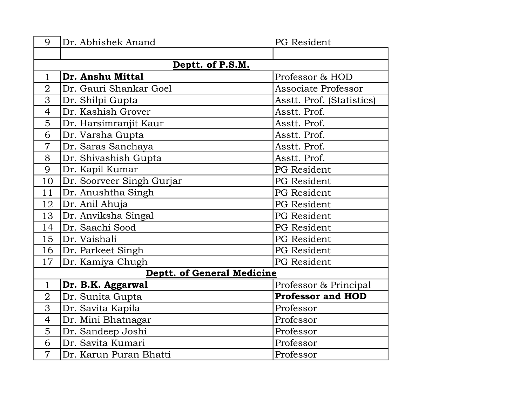| 9              | Dr. Abhishek Anand                | PG Resident               |  |
|----------------|-----------------------------------|---------------------------|--|
|                |                                   |                           |  |
|                | Deptt. of P.S.M.                  |                           |  |
| $\mathbf{1}$   | Dr. Anshu Mittal                  | Professor & HOD           |  |
| $\overline{2}$ | Dr. Gauri Shankar Goel            | Associate Professor       |  |
| 3              | Dr. Shilpi Gupta                  | Asstt. Prof. (Statistics) |  |
| 4              | Dr. Kashish Grover                | Asstt. Prof.              |  |
| 5              | Dr. Harsimranjit Kaur             | Asstt. Prof.              |  |
| 6              | Dr. Varsha Gupta                  | Asstt. Prof.              |  |
| $\overline{7}$ | Dr. Saras Sanchaya                | Asstt. Prof.              |  |
| 8              | Dr. Shivashish Gupta              | Asstt. Prof.              |  |
| 9              | Dr. Kapil Kumar                   | <b>PG</b> Resident        |  |
| 10             | Dr. Soorveer Singh Gurjar         | PG Resident               |  |
| 11             | Dr. Anushtha Singh                | <b>PG</b> Resident        |  |
| 12             | Dr. Anil Ahuja                    | <b>PG</b> Resident        |  |
| 13             | Dr. Anviksha Singal               | PG Resident               |  |
| 14             | Dr. Saachi Sood                   | <b>PG</b> Resident        |  |
| 15             | Dr. Vaishali                      | <b>PG</b> Resident        |  |
| 16             | Dr. Parkeet Singh                 | PG Resident               |  |
| 17             | Dr. Kamiya Chugh                  | <b>PG</b> Resident        |  |
|                | <b>Deptt. of General Medicine</b> |                           |  |
| $\mathbf 1$    | Dr. B.K. Aggarwal                 | Professor & Principal     |  |
| $\overline{2}$ | Dr. Sunita Gupta                  | <b>Professor and HOD</b>  |  |
| 3              | Dr. Savita Kapila                 | Professor                 |  |
| 4              | Dr. Mini Bhatnagar                | Professor                 |  |
| 5              | Dr. Sandeep Joshi                 | Professor                 |  |
| 6              | Dr. Savita Kumari                 | Professor                 |  |
| $\overline{7}$ | Dr. Karun Puran Bhatti            | Professor                 |  |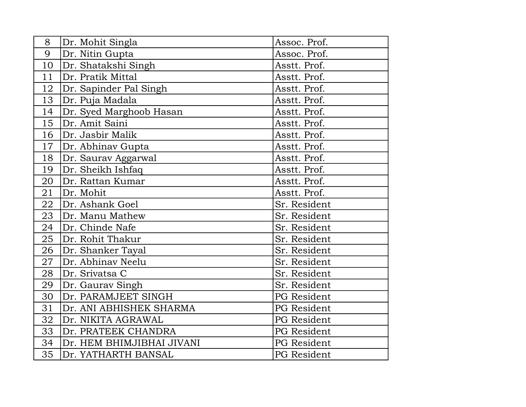| 8  | Dr. Mohit Singla          | Assoc. Prof.       |
|----|---------------------------|--------------------|
| 9  | Dr. Nitin Gupta           | Assoc. Prof.       |
| 10 | Dr. Shatakshi Singh       | Asstt. Prof.       |
| 11 | Dr. Pratik Mittal         | Asstt. Prof.       |
| 12 | Dr. Sapinder Pal Singh    | Asstt. Prof.       |
| 13 | Dr. Puja Madala           | Asstt. Prof.       |
| 14 | Dr. Syed Marghoob Hasan   | Asstt. Prof.       |
| 15 | Dr. Amit Saini            | Asstt. Prof.       |
| 16 | Dr. Jasbir Malik          | Asstt. Prof.       |
| 17 | Dr. Abhinav Gupta         | Asstt. Prof.       |
| 18 | Dr. Saurav Aggarwal       | Asstt. Prof.       |
| 19 | Dr. Sheikh Ishfaq         | Asstt. Prof.       |
| 20 | Dr. Rattan Kumar          | Asstt. Prof.       |
| 21 | Dr. Mohit                 | Asstt. Prof.       |
| 22 | Dr. Ashank Goel           | Sr. Resident       |
| 23 | Dr. Manu Mathew           | Sr. Resident       |
| 24 | Dr. Chinde Nafe           | Sr. Resident       |
| 25 | Dr. Rohit Thakur          | Sr. Resident       |
| 26 | Dr. Shanker Tayal         | Sr. Resident       |
| 27 | Dr. Abhinav Neelu         | Sr. Resident       |
| 28 | Dr. Srivatsa C            | Sr. Resident       |
| 29 | Dr. Gaurav Singh          | Sr. Resident       |
| 30 | Dr. PARAMJEET SINGH       | PG Resident        |
| 31 | Dr. ANI ABHISHEK SHARMA   | PG Resident        |
| 32 | Dr. NIKITA AGRAWAL        | PG Resident        |
| 33 | Dr. PRATEEK CHANDRA       | PG Resident        |
| 34 | Dr. HEM BHIMJIBHAI JIVANI | PG Resident        |
| 35 | Dr. YATHARTH BANSAL       | <b>PG</b> Resident |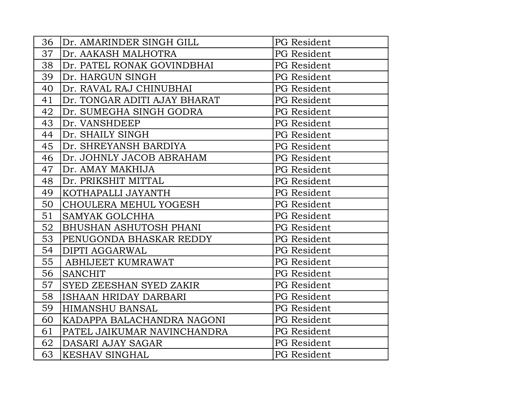| 36 | Dr. AMARINDER SINGH GILL      | PG Resident        |
|----|-------------------------------|--------------------|
| 37 | Dr. AAKASH MALHOTRA           | PG Resident        |
| 38 | Dr. PATEL RONAK GOVINDBHAI    | PG Resident        |
| 39 | Dr. HARGUN SINGH              | PG Resident        |
| 40 | Dr. RAVAL RAJ CHINUBHAI       | PG Resident        |
| 41 | Dr. TONGAR ADITI AJAY BHARAT  | PG Resident        |
| 42 | Dr. SUMEGHA SINGH GODRA       | PG Resident        |
| 43 | Dr. VANSHDEEP                 | PG Resident        |
| 44 | Dr. SHAILY SINGH              | PG Resident        |
| 45 | Dr. SHREYANSH BARDIYA         | PG Resident        |
| 46 | Dr. JOHNLY JACOB ABRAHAM      | PG Resident        |
| 47 | Dr. AMAY MAKHIJA              | PG Resident        |
| 48 | Dr. PRIKSHIT MITTAL           | PG Resident        |
| 49 | KOTHAPALLI JAYANTH            | PG Resident        |
| 50 | CHOULERA MEHUL YOGESH         | PG Resident        |
| 51 | <b>SAMYAK GOLCHHA</b>         | PG Resident        |
| 52 | <b>BHUSHAN ASHUTOSH PHANI</b> | PG Resident        |
| 53 | PENUGONDA BHASKAR REDDY       | <b>PG</b> Resident |
| 54 | <b>DIPTI AGGARWAL</b>         | PG Resident        |
| 55 | <b>ABHIJEET KUMRAWAT</b>      | PG Resident        |
| 56 | <b>SANCHIT</b>                | PG Resident        |
| 57 | SYED ZEESHAN SYED ZAKIR       | PG Resident        |
| 58 | ISHAAN HRIDAY DARBARI         | PG Resident        |
| 59 | <b>HIMANSHU BANSAL</b>        | PG Resident        |
| 60 | KADAPPA BALACHANDRA NAGONI    | PG Resident        |
| 61 | PATEL JAIKUMAR NAVINCHANDRA   | PG Resident        |
| 62 | DASARI AJAY SAGAR             | PG Resident        |
| 63 | <b>KESHAV SINGHAL</b>         | <b>PG</b> Resident |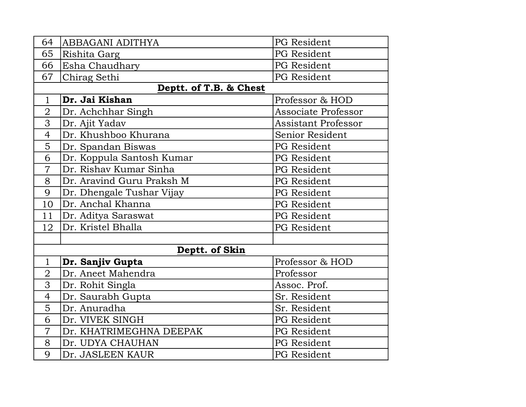| 64             | ABBAGANI ADITHYA          | PG Resident                |
|----------------|---------------------------|----------------------------|
| 65             | Rishita Garg              | <b>PG</b> Resident         |
| 66             | Esha Chaudhary            | PG Resident                |
| 67             | Chirag Sethi              | PG Resident                |
|                | Deptt. of T.B. & Chest    |                            |
| $\mathbf{1}$   | Dr. Jai Kishan            | Professor & HOD            |
| $\overline{2}$ | Dr. Achchhar Singh        | <b>Associate Professor</b> |
| 3              | Dr. Ajit Yadav            | <b>Assistant Professor</b> |
| $\overline{4}$ | Dr. Khushboo Khurana      | Senior Resident            |
| 5              | Dr. Spandan Biswas        | PG Resident                |
| 6              | Dr. Koppula Santosh Kumar | PG Resident                |
| $\overline{7}$ | Dr. Rishav Kumar Sinha    | <b>PG</b> Resident         |
| 8              | Dr. Aravind Guru Praksh M | PG Resident                |
| 9              | Dr. Dhengale Tushar Vijay | PG Resident                |
| 10             | Dr. Anchal Khanna         | PG Resident                |
| 11             | Dr. Aditya Saraswat       | PG Resident                |
| 12             | Dr. Kristel Bhalla        | PG Resident                |
|                |                           |                            |
|                | Deptt. of Skin            |                            |
| $\mathbf 1$    | Dr. Sanjiv Gupta          | Professor & HOD            |
| $\overline{2}$ | Dr. Aneet Mahendra        | Professor                  |
| 3              | Dr. Rohit Singla          | Assoc. Prof.               |
| $\overline{4}$ | Dr. Saurabh Gupta         | Sr. Resident               |
| 5              | Dr. Anuradha              | Sr. Resident               |
| 6              | Dr. VIVEK SINGH           | PG Resident                |
| $\overline{7}$ | Dr. KHATRIMEGHNA DEEPAK   | PG Resident                |
| 8              | Dr. UDYA CHAUHAN          | PG Resident                |
| 9              | Dr. JASLEEN KAUR          | <b>PG</b> Resident         |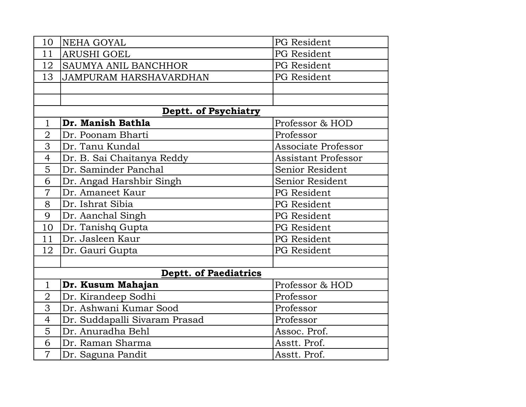| 10             | NEHA GOYAL                    | PG Resident                |
|----------------|-------------------------------|----------------------------|
| 11             | <b>ARUSHI GOEL</b>            | PG Resident                |
| 12             | <b>SAUMYA ANIL BANCHHOR</b>   | PG Resident                |
| 13             | JAMPURAM HARSHAVARDHAN        | PG Resident                |
|                |                               |                            |
|                |                               |                            |
|                | <b>Deptt. of Psychiatry</b>   |                            |
| $\mathbf{1}$   | Dr. Manish Bathla             | Professor & HOD            |
| $\overline{2}$ | Dr. Poonam Bharti             | Professor                  |
| 3              | Dr. Tanu Kundal               | <b>Associate Professor</b> |
| 4              | Dr. B. Sai Chaitanya Reddy    | <b>Assistant Professor</b> |
| $\overline{5}$ | Dr. Saminder Panchal          | Senior Resident            |
| 6              | Dr. Angad Harshbir Singh      | Senior Resident            |
| $\overline{7}$ | Dr. Amaneet Kaur              | PG Resident                |
| 8              | Dr. Ishrat Sibia              | PG Resident                |
| 9              | Dr. Aanchal Singh             | PG Resident                |
| 10             | Dr. Tanishq Gupta             | PG Resident                |
| 11             | Dr. Jasleen Kaur              | PG Resident                |
| 12             | Dr. Gauri Gupta               | PG Resident                |
|                |                               |                            |
|                | <b>Deptt. of Paediatrics</b>  |                            |
| $\mathbf{1}$   | Dr. Kusum Mahajan             | Professor & HOD            |
| $\overline{2}$ | Dr. Kirandeep Sodhi           | Professor                  |
| 3              | Dr. Ashwani Kumar Sood        | Professor                  |
| $\overline{4}$ | Dr. Suddapalli Sivaram Prasad | Professor                  |
| 5              | Dr. Anuradha Behl             | Assoc. Prof.               |
| 6              | Dr. Raman Sharma              | Asstt. Prof.               |
| $\overline{7}$ | Dr. Saguna Pandit             | Asstt. Prof.               |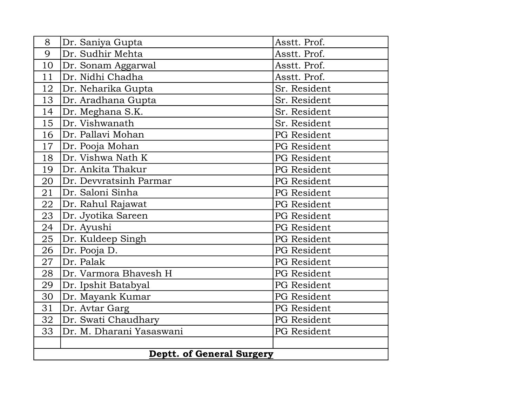| 8                                | Dr. Saniya Gupta         | Asstt. Prof.       |  |
|----------------------------------|--------------------------|--------------------|--|
| 9                                | Dr. Sudhir Mehta         | Asstt. Prof.       |  |
| 10                               | Dr. Sonam Aggarwal       | Asstt. Prof.       |  |
| 11                               | Dr. Nidhi Chadha         | Asstt. Prof.       |  |
| 12                               | Dr. Neharika Gupta       | Sr. Resident       |  |
| 13                               | Dr. Aradhana Gupta       | Sr. Resident       |  |
| 14                               | Dr. Meghana S.K.         | Sr. Resident       |  |
| 15                               | Dr. Vishwanath           | Sr. Resident       |  |
| 16                               | Dr. Pallavi Mohan        | PG Resident        |  |
| $17 \,$                          | Dr. Pooja Mohan          | PG Resident        |  |
| 18                               | Dr. Vishwa Nath K        | PG Resident        |  |
| 19                               | Dr. Ankita Thakur        | PG Resident        |  |
| 20                               | Dr. Devvratsinh Parmar   | PG Resident        |  |
| 21                               | Dr. Saloni Sinha         | <b>PG</b> Resident |  |
| 22                               | Dr. Rahul Rajawat        | PG Resident        |  |
| 23                               | Dr. Jyotika Sareen       | PG Resident        |  |
| 24                               | Dr. Ayushi               | PG Resident        |  |
| 25                               | Dr. Kuldeep Singh        | PG Resident        |  |
| 26                               | Dr. Pooja D.             | PG Resident        |  |
| 27                               | Dr. Palak                | <b>PG</b> Resident |  |
| 28                               | Dr. Varmora Bhavesh H    | PG Resident        |  |
| 29                               | Dr. Ipshit Batabyal      | PG Resident        |  |
| 30                               | Dr. Mayank Kumar         | <b>PG</b> Resident |  |
| 31                               | Dr. Avtar Garg           | PG Resident        |  |
| 32                               | Dr. Swati Chaudhary      | PG Resident        |  |
| 33                               | Dr. M. Dharani Yasaswani | PG Resident        |  |
|                                  |                          |                    |  |
| <b>Deptt. of General Surgery</b> |                          |                    |  |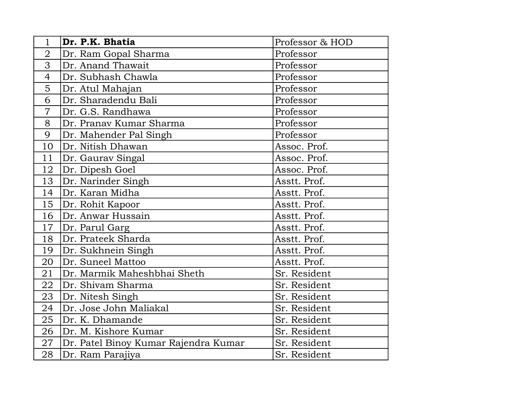| $\mathbf 1$    | Dr. P.K. Bhatia                      | Professor & HOD |
|----------------|--------------------------------------|-----------------|
| $\overline{2}$ | Dr. Ram Gopal Sharma                 | Professor       |
| 3              | Dr. Anand Thawait                    | Professor       |
| $\overline{4}$ | Dr. Subhash Chawla                   | Professor       |
| 5              | Dr. Atul Mahajan                     | Professor       |
| 6              | Dr. Sharadendu Bali                  | Professor       |
| $\overline{7}$ | Dr. G.S. Randhawa                    | Professor       |
| 8              | Dr. Pranav Kumar Sharma              | Professor       |
| 9              | Dr. Mahender Pal Singh               | Professor       |
| 10             | Dr. Nitish Dhawan                    | Assoc. Prof.    |
| 11             | Dr. Gaurav Singal                    | Assoc. Prof.    |
| 12             | Dr. Dipesh Goel                      | Assoc. Prof.    |
| 13             | Dr. Narinder Singh                   | Asstt. Prof.    |
| 14             | Dr. Karan Midha                      | Asstt. Prof.    |
| 15             | Dr. Rohit Kapoor                     | Asstt. Prof.    |
| 16             | Dr. Anwar Hussain                    | Asstt. Prof.    |
| 17             | Dr. Parul Garg                       | Asstt. Prof.    |
| 18             | Dr. Prateek Sharda                   | Asstt. Prof.    |
| 19             | Dr. Sukhnein Singh                   | Asstt. Prof.    |
| 20             | Dr. Suneel Mattoo                    | Asstt. Prof.    |
| 21             | Dr. Marmik Maheshbhai Sheth          | Sr. Resident    |
| 22             | Dr. Shivam Sharma                    | Sr. Resident    |
| 23             | Dr. Nitesh Singh                     | Sr. Resident    |
| 24             | Dr. Jose John Maliakal               | Sr. Resident    |
| 25             | Dr. K. Dhamande                      | Sr. Resident    |
| 26             | Dr. M. Kishore Kumar                 | Sr. Resident    |
| 27             | Dr. Patel Binoy Kumar Rajendra Kumar | Sr. Resident    |
| 28             | Dr. Ram Parajiya                     | Sr. Resident    |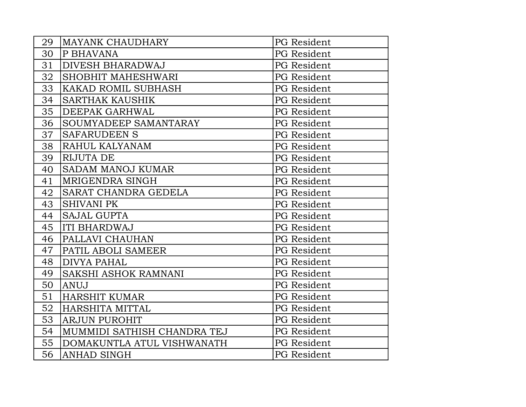| 29 | <b>MAYANK CHAUDHARY</b>     | PG Resident        |
|----|-----------------------------|--------------------|
| 30 | P BHAVANA                   | <b>PG</b> Resident |
| 31 | <b>DIVESH BHARADWAJ</b>     | PG Resident        |
| 32 | SHOBHIT MAHESHWARI          | PG Resident        |
| 33 | <b>KAKAD ROMIL SUBHASH</b>  | PG Resident        |
| 34 | <b>SARTHAK KAUSHIK</b>      | PG Resident        |
| 35 | DEEPAK GARHWAL              | PG Resident        |
| 36 | SOUMYADEEP SAMANTARAY       | PG Resident        |
| 37 | <b>SAFARUDEEN S</b>         | PG Resident        |
| 38 | RAHUL KALYANAM              | PG Resident        |
| 39 | <b>RIJUTA DE</b>            | PG Resident        |
| 40 | SADAM MANOJ KUMAR           | PG Resident        |
| 41 | MRIGENDRA SINGH             | PG Resident        |
| 42 | SARAT CHANDRA GEDELA        | PG Resident        |
| 43 | <b>SHIVANI PK</b>           | PG Resident        |
| 44 | <b>SAJAL GUPTA</b>          | PG Resident        |
| 45 | <b>ITI BHARDWAJ</b>         | PG Resident        |
| 46 | PALLAVI CHAUHAN             | PG Resident        |
| 47 | PATIL ABOLI SAMEER          | PG Resident        |
| 48 | <b>DIVYA PAHAL</b>          | PG Resident        |
| 49 | SAKSHI ASHOK RAMNANI        | PG Resident        |
| 50 | <b>ANUJ</b>                 | PG Resident        |
| 51 | <b>HARSHIT KUMAR</b>        | <b>PG</b> Resident |
| 52 | HARSHITA MITTAL             | PG Resident        |
| 53 | <b>ARJUN PUROHIT</b>        | PG Resident        |
| 54 | MUMMIDI SATHISH CHANDRA TEJ | <b>PG</b> Resident |
| 55 | DOMAKUNTLA ATUL VISHWANATH  | PG Resident        |
| 56 | <b>ANHAD SINGH</b>          | PG Resident        |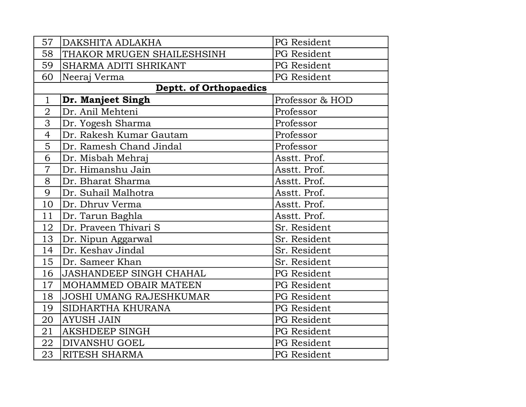| 57             | DAKSHITA ADLAKHA               | PG Resident        |
|----------------|--------------------------------|--------------------|
| 58             | THAKOR MRUGEN SHAILESHSINH     | PG Resident        |
| 59             | SHARMA ADITI SHRIKANT          | PG Resident        |
| 60             | Neeraj Verma                   | PG Resident        |
|                | <b>Deptt. of Orthopaedics</b>  |                    |
| $\mathbf{1}$   | Dr. Manjeet Singh              | Professor & HOD    |
| $\overline{2}$ | Dr. Anil Mehteni               | Professor          |
| 3              | Dr. Yogesh Sharma              | Professor          |
| $\overline{4}$ | Dr. Rakesh Kumar Gautam        | Professor          |
| 5              | Dr. Ramesh Chand Jindal        | Professor          |
| 6              | Dr. Misbah Mehraj              | Asstt. Prof.       |
| $\overline{7}$ | Dr. Himanshu Jain              | Asstt. Prof.       |
| 8              | Dr. Bharat Sharma              | Asstt. Prof.       |
| 9              | Dr. Suhail Malhotra            | Asstt. Prof.       |
| 10             | Dr. Dhruv Verma                | Asstt. Prof.       |
| 11             | Dr. Tarun Baghla               | Asstt. Prof.       |
| 12             | Dr. Praveen Thivari S          | Sr. Resident       |
| 13             | Dr. Nipun Aggarwal             | Sr. Resident       |
| 14             | Dr. Keshav Jindal              | Sr. Resident       |
| 15             | Dr. Sameer Khan                | Sr. Resident       |
| 16             | <b>JASHANDEEP SINGH CHAHAL</b> | <b>PG</b> Resident |
| 17             | MOHAMMED OBAIR MATEEN          | PG Resident        |
| 18             | <b>JOSHI UMANG RAJESHKUMAR</b> | PG Resident        |
| 19             | SIDHARTHA KHURANA              | <b>PG</b> Resident |
| 20             | <b>AYUSH JAIN</b>              | PG Resident        |
| 21             | <b>AKSHDEEP SINGH</b>          | PG Resident        |
| 22             | <b>DIVANSHU GOEL</b>           | <b>PG</b> Resident |
| 23             | <b>RITESH SHARMA</b>           | <b>PG</b> Resident |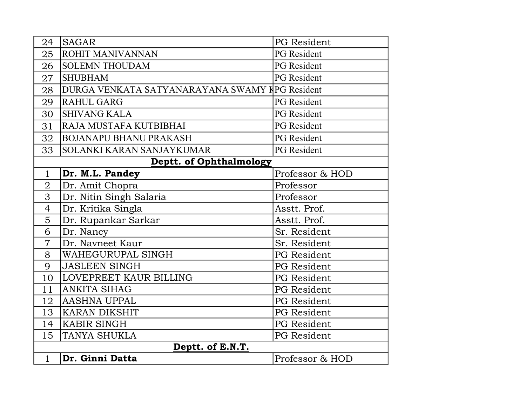| 24               | <b>SAGAR</b>                                   | PG Resident        |
|------------------|------------------------------------------------|--------------------|
| 25               | <b>ROHIT MANIVANNAN</b>                        | <b>PG</b> Resident |
| 26               | <b>SOLEMN THOUDAM</b>                          | <b>PG</b> Resident |
| 27               | <b>SHUBHAM</b>                                 | <b>PG</b> Resident |
| 28               | DURGA VENKATA SATYANARAYANA SWAMY KPG Resident |                    |
| 29               | <b>RAHUL GARG</b>                              | <b>PG</b> Resident |
| 30               | <b>SHIVANG KALA</b>                            | <b>PG</b> Resident |
| 31               | RAJA MUSTAFA KUTBIBHAI                         | <b>PG</b> Resident |
| 32               | <b>BOJANAPU BHANU PRAKASH</b>                  | <b>PG</b> Resident |
| 33               | SOLANKI KARAN SANJAYKUMAR                      | <b>PG</b> Resident |
|                  | <b>Deptt. of Ophthalmology</b>                 |                    |
| $\mathbf{1}$     | Dr. M.L. Pandey                                | Professor & HOD    |
| $\overline{2}$   | Dr. Amit Chopra                                | Professor          |
| 3                | Dr. Nitin Singh Salaria                        | Professor          |
| $\overline{4}$   | Dr. Kritika Singla                             | Asstt. Prof.       |
| 5                | Dr. Rupankar Sarkar                            | Asstt. Prof.       |
| 6                | Dr. Nancy                                      | Sr. Resident       |
| $\overline{7}$   | Dr. Navneet Kaur                               | Sr. Resident       |
| 8                | WAHEGURUPAL SINGH                              | PG Resident        |
| 9                | <b>JASLEEN SINGH</b>                           | <b>PG</b> Resident |
| 10               | LOVEPREET KAUR BILLING                         | <b>PG</b> Resident |
| 11               | <b>ANKITA SIHAG</b>                            | PG Resident        |
| 12               | <b>AASHNA UPPAL</b>                            | PG Resident        |
| 13               | <b>KARAN DIKSHIT</b>                           | <b>PG</b> Resident |
| 14               | <b>KABIR SINGH</b>                             | PG Resident        |
| 15               | <b>TANYA SHUKLA</b>                            | PG Resident        |
| Deptt. of E.N.T. |                                                |                    |
| $\mathbf{1}$     | Dr. Ginni Datta                                | Professor & HOD    |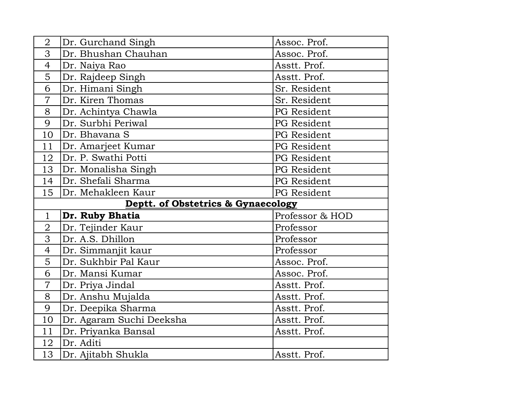| $\overline{2}$ | Dr. Gurchand Singh                 | Assoc. Prof.       |
|----------------|------------------------------------|--------------------|
| 3              | Dr. Bhushan Chauhan                | Assoc. Prof.       |
| $\overline{4}$ | Dr. Naiya Rao                      | Asstt. Prof.       |
| 5              | Dr. Rajdeep Singh                  | Asstt. Prof.       |
| 6              | Dr. Himani Singh                   | Sr. Resident       |
| $\overline{7}$ | Dr. Kiren Thomas                   | Sr. Resident       |
| 8              | Dr. Achintya Chawla                | PG Resident        |
| 9              | Dr. Surbhi Periwal                 | <b>PG</b> Resident |
| 10             | Dr. Bhavana S                      | PG Resident        |
| 11             | Dr. Amarjeet Kumar                 | PG Resident        |
| 12             | Dr. P. Swathi Potti                | <b>PG</b> Resident |
| 13             | Dr. Monalisha Singh                | PG Resident        |
| 14             | Dr. Shefali Sharma                 | PG Resident        |
| 15             | Dr. Mehakleen Kaur                 | PG Resident        |
|                |                                    |                    |
|                | Deptt. of Obstetrics & Gynaecology |                    |
| $\mathbf{1}$   | Dr. Ruby Bhatia                    | Professor & HOD    |
| $\overline{2}$ | Dr. Tejinder Kaur                  | Professor          |
| 3              | Dr. A.S. Dhillon                   | Professor          |
| $\overline{4}$ | Dr. Simmanjit kaur                 | Professor          |
| 5              | Dr. Sukhbir Pal Kaur               | Assoc. Prof.       |
| 6              | Dr. Mansi Kumar                    | Assoc. Prof.       |
| $\overline{7}$ | Dr. Priya Jindal                   | Asstt. Prof.       |
| 8              | Dr. Anshu Mujalda                  | Asstt. Prof.       |
| 9              | Dr. Deepika Sharma                 | Asstt. Prof.       |
| 10             | Dr. Agaram Suchi Deeksha           | Asstt. Prof.       |
| 11             | Dr. Priyanka Bansal                | Asstt. Prof.       |
| 12             | Dr. Aditi                          |                    |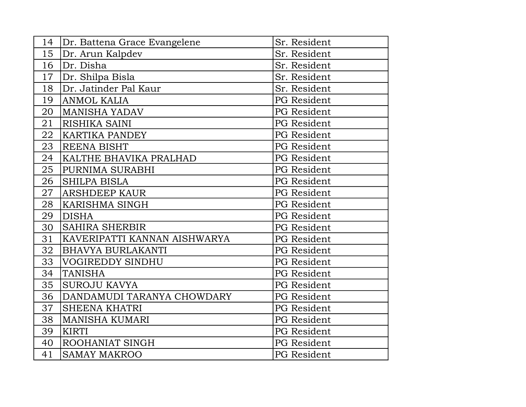| 14 | Dr. Battena Grace Evangelene | Sr. Resident       |
|----|------------------------------|--------------------|
| 15 | Dr. Arun Kalpdev             | Sr. Resident       |
| 16 | Dr. Disha                    | Sr. Resident       |
| 17 | Dr. Shilpa Bisla             | Sr. Resident       |
| 18 | Dr. Jatinder Pal Kaur        | Sr. Resident       |
| 19 | <b>ANMOL KALIA</b>           | PG Resident        |
| 20 | <b>MANISHA YADAV</b>         | PG Resident        |
| 21 | RISHIKA SAINI                | <b>PG</b> Resident |
| 22 | <b>KARTIKA PANDEY</b>        | PG Resident        |
| 23 | <b>REENA BISHT</b>           | PG Resident        |
| 24 | KALTHE BHAVIKA PRALHAD       | PG Resident        |
| 25 | PURNIMA SURABHI              | PG Resident        |
| 26 | <b>SHILPA BISLA</b>          | <b>PG</b> Resident |
| 27 | <b>ARSHDEEP KAUR</b>         | PG Resident        |
| 28 | <b>KARISHMA SINGH</b>        | PG Resident        |
| 29 | <b>DISHA</b>                 | <b>PG</b> Resident |
| 30 | <b>SAHIRA SHERBIR</b>        | PG Resident        |
| 31 | KAVERIPATTI KANNAN AISHWARYA | PG Resident        |
| 32 | <b>BHAVYA BURLAKANTI</b>     | PG Resident        |
| 33 | <b>VOGIREDDY SINDHU</b>      | PG Resident        |
| 34 | <b>TANISHA</b>               | <b>PG</b> Resident |
| 35 | <b>SUROJU KAVYA</b>          | PG Resident        |
| 36 | DANDAMUDI TARANYA CHOWDARY   | PG Resident        |
| 37 | <b>SHEENA KHATRI</b>         | <b>PG</b> Resident |
| 38 | <b>MANISHA KUMARI</b>        | PG Resident        |
| 39 | <b>KIRTI</b>                 | PG Resident        |
| 40 | <b>ROOHANIAT SINGH</b>       | PG Resident        |
| 41 | <b>SAMAY MAKROO</b>          | <b>PG</b> Resident |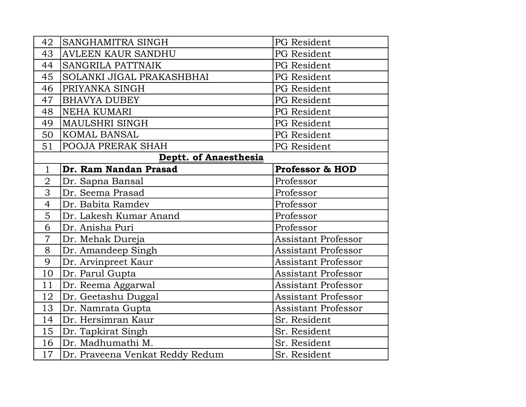| 42                    | SANGHAMITRA SINGH               | PG Resident                |
|-----------------------|---------------------------------|----------------------------|
| 43                    | <b>AVLEEN KAUR SANDHU</b>       | <b>PG</b> Resident         |
| 44                    | SANGRILA PATTNAIK               | PG Resident                |
| 45                    | SOLANKI JIGAL PRAKASHBHAI       | PG Resident                |
| 46                    | PRIYANKA SINGH                  | <b>PG</b> Resident         |
| 47                    | <b>BHAVYA DUBEY</b>             | PG Resident                |
| 48                    | <b>NEHA KUMARI</b>              | PG Resident                |
| 49                    | <b>MAULSHRI SINGH</b>           | <b>PG</b> Resident         |
| 50                    | KOMAL BANSAL                    | PG Resident                |
| 51                    | POOJA PRERAK SHAH               | PG Resident                |
| Deptt. of Anaesthesia |                                 |                            |
| $\mathbf{1}$          | Dr. Ram Nandan Prasad           | <b>Professor &amp; HOD</b> |
| $\overline{2}$        | Dr. Sapna Bansal                | Professor                  |
| 3                     | Dr. Seema Prasad                | Professor                  |
| $\overline{4}$        | Dr. Babita Ramdev               | Professor                  |
| 5                     | Dr. Lakesh Kumar Anand          | Professor                  |
| 6                     | Dr. Anisha Puri                 | Professor                  |
| $\overline{7}$        | Dr. Mehak Dureja                | Assistant Professor        |
| 8                     | Dr. Amandeep Singh              | <b>Assistant Professor</b> |
| 9                     | Dr. Arvinpreet Kaur             | <b>Assistant Professor</b> |
| 10                    | Dr. Parul Gupta                 | <b>Assistant Professor</b> |
| 11                    | Dr. Reema Aggarwal              | <b>Assistant Professor</b> |
| 12                    | Dr. Geetashu Duggal             | <b>Assistant Professor</b> |
| 13                    | Dr. Namrata Gupta               | <b>Assistant Professor</b> |
| 14                    | Dr. Hersimran Kaur              | Sr. Resident               |
| 15                    | Dr. Tapkirat Singh              | Sr. Resident               |
| 16                    | Dr. Madhumathi M.               | Sr. Resident               |
| 17                    | Dr. Praveena Venkat Reddy Redum | Sr. Resident               |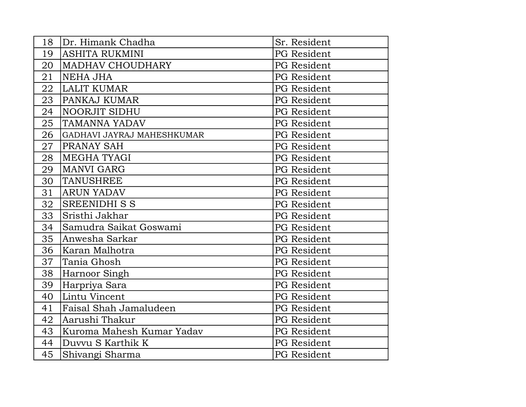| 18 | Dr. Himank Chadha          | Sr. Resident |
|----|----------------------------|--------------|
| 19 | <b>ASHITA RUKMINI</b>      | PG Resident  |
| 20 | <b>MADHAV CHOUDHARY</b>    | PG Resident  |
| 21 | NEHA JHA                   | PG Resident  |
| 22 | LALIT KUMAR                | PG Resident  |
| 23 | <b>PANKAJ KUMAR</b>        | PG Resident  |
| 24 | <b>NOORJIT SIDHU</b>       | PG Resident  |
| 25 | <b>TAMANNA YADAV</b>       | PG Resident  |
| 26 | GADHAVI JAYRAJ MAHESHKUMAR | PG Resident  |
| 27 | <b>PRANAY SAH</b>          | PG Resident  |
| 28 | <b>MEGHA TYAGI</b>         | PG Resident  |
| 29 | <b>MANVI GARG</b>          | PG Resident  |
| 30 | TANUSHREE                  | PG Resident  |
| 31 | <b>ARUN YADAV</b>          | PG Resident  |
| 32 | SREENIDHI S S              | PG Resident  |
| 33 | Sristhi Jakhar             | PG Resident  |
| 34 | Samudra Saikat Goswami     | PG Resident  |
| 35 | Anwesha Sarkar             | PG Resident  |
| 36 | Karan Malhotra             | PG Resident  |
| 37 | Tania Ghosh                | PG Resident  |
| 38 | Harnoor Singh              | PG Resident  |
| 39 | Harpriya Sara              | PG Resident  |
| 40 | Lintu Vincent              | PG Resident  |
| 41 | Faisal Shah Jamaludeen     | PG Resident  |
| 42 | Aarushi Thakur             | PG Resident  |
| 43 | Kuroma Mahesh Kumar Yadav  | PG Resident  |
| 44 | Duvyu S Karthik K          | PG Resident  |
| 45 | Shivangi Sharma            | PG Resident  |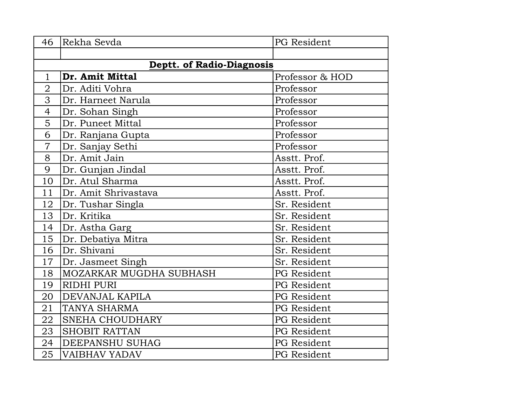| 46                               | Rekha Sevda             | PG Resident        |
|----------------------------------|-------------------------|--------------------|
|                                  |                         |                    |
| <b>Deptt. of Radio-Diagnosis</b> |                         |                    |
| $\mathbf{1}$                     | Dr. Amit Mittal         | Professor & HOD    |
| $\overline{2}$                   | Dr. Aditi Vohra         | Professor          |
| 3                                | Dr. Harneet Narula      | Professor          |
| $\overline{4}$                   | Dr. Sohan Singh         | Professor          |
| 5                                | Dr. Puneet Mittal       | Professor          |
| 6                                | Dr. Ranjana Gupta       | Professor          |
| $\overline{7}$                   | Dr. Sanjay Sethi        | Professor          |
| 8                                | Dr. Amit Jain           | Asstt. Prof.       |
| 9                                | Dr. Gunjan Jindal       | Asstt. Prof.       |
| 10                               | Dr. Atul Sharma         | Asstt. Prof.       |
| 11                               | Dr. Amit Shrivastava    | Asstt. Prof.       |
| 12                               | Dr. Tushar Singla       | Sr. Resident       |
| 13                               | Dr. Kritika             | Sr. Resident       |
| 14                               | Dr. Astha Garg          | Sr. Resident       |
| 15                               | Dr. Debatiya Mitra      | Sr. Resident       |
| 16                               | Dr. Shivani             | Sr. Resident       |
| 17                               | Dr. Jasmeet Singh       | Sr. Resident       |
| 18                               | MOZARKAR MUGDHA SUBHASH | PG Resident        |
| 19                               | <b>RIDHI PURI</b>       | PG Resident        |
| 20                               | DEVANJAL KAPILA         | PG Resident        |
| 21                               | <b>TANYA SHARMA</b>     | <b>PG</b> Resident |
| 22                               | <b>SNEHA CHOUDHARY</b>  | PG Resident        |
| 23                               | <b>SHOBIT RATTAN</b>    | PG Resident        |
| 24                               | DEEPANSHU SUHAG         | PG Resident        |
| 25                               | <b>VAIBHAV YADAV</b>    | <b>PG</b> Resident |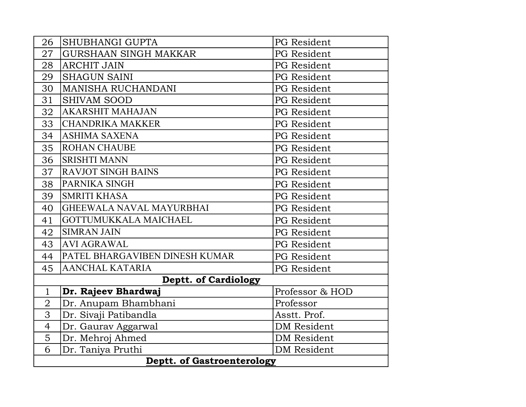| 26                                | SHUBHANGI GUPTA                | PG Resident        |
|-----------------------------------|--------------------------------|--------------------|
| 27                                | <b>GURSHAAN SINGH MAKKAR</b>   | <b>PG</b> Resident |
| 28                                | <b>ARCHIT JAIN</b>             | PG Resident        |
| 29                                | <b>SHAGUN SAINI</b>            | PG Resident        |
| 30                                | MANISHA RUCHANDANI             | <b>PG</b> Resident |
| 31                                | SHIVAM SOOD                    | PG Resident        |
| 32                                | <b>AKARSHIT MAHAJAN</b>        | PG Resident        |
| 33                                | CHANDRIKA MAKKER               | PG Resident        |
| 34                                | ASHIMA SAXENA                  | <b>PG</b> Resident |
| 35                                | <b>ROHAN CHAUBE</b>            | <b>PG</b> Resident |
| 36                                | <b>SRISHTI MANN</b>            | PG Resident        |
| 37                                | <b>RAVJOT SINGH BAINS</b>      | <b>PG</b> Resident |
| 38                                | PARNIKA SINGH                  | PG Resident        |
| 39                                | <b>SMRITI KHASA</b>            | <b>PG</b> Resident |
| 40                                | GHEEWALA NAVAL MAYURBHAI       | PG Resident        |
| 41                                | GOTTUMUKKALA MAICHAEL          | <b>PG</b> Resident |
| 42                                | <b>SIMRAN JAIN</b>             | PG Resident        |
| 43                                | <b>AVI AGRAWAL</b>             | PG Resident        |
| 44                                | PATEL BHARGAVIBEN DINESH KUMAR | PG Resident        |
| 45                                | <b>AANCHAL KATARIA</b>         | PG Resident        |
| <b>Deptt. of Cardiology</b>       |                                |                    |
| $\mathbf{1}$                      | Dr. Rajeev Bhardwaj            | Professor & HOD    |
| $\overline{2}$                    | Dr. Anupam Bhambhani           | Professor          |
| 3                                 | Dr. Sivaji Patibandla          | Asstt. Prof.       |
| $\overline{4}$                    | Dr. Gaurav Aggarwal            | <b>DM</b> Resident |
| $\overline{5}$                    | Dr. Mehroj Ahmed               | <b>DM</b> Resident |
| 6                                 | Dr. Taniya Pruthi              | <b>DM</b> Resident |
| <b>Deptt. of Gastroenterology</b> |                                |                    |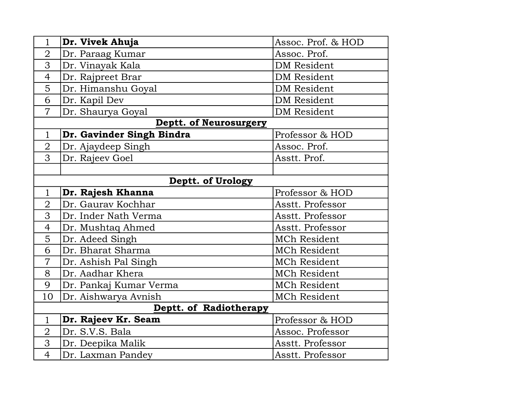| $\mathbf{1}$           | Dr. Vivek Ahuja           | Assoc. Prof. & HOD  |  |
|------------------------|---------------------------|---------------------|--|
| $\overline{2}$         | Dr. Paraag Kumar          | Assoc. Prof.        |  |
| 3                      | Dr. Vinayak Kala          | <b>DM</b> Resident  |  |
| $\overline{4}$         | Dr. Rajpreet Brar         | <b>DM</b> Resident  |  |
| 5                      | Dr. Himanshu Goyal        | <b>DM</b> Resident  |  |
| 6                      | Dr. Kapil Dev             | <b>DM</b> Resident  |  |
| $\overline{7}$         | Dr. Shaurya Goyal         | <b>DM</b> Resident  |  |
|                        | Deptt. of Neurosurgery    |                     |  |
| $\mathbf{1}$           | Dr. Gavinder Singh Bindra | Professor & HOD     |  |
| $\overline{2}$         | Dr. Ajaydeep Singh        | Assoc. Prof.        |  |
| 3                      | Dr. Rajeev Goel           | Asstt. Prof.        |  |
|                        |                           |                     |  |
|                        | Deptt. of Urology         |                     |  |
| $\mathbf{1}$           | Dr. Rajesh Khanna         | Professor & HOD     |  |
| $\overline{2}$         | Dr. Gaurav Kochhar        | Asstt. Professor    |  |
| 3                      | Dr. Inder Nath Verma      | Asstt. Professor    |  |
| $\overline{4}$         | Dr. Mushtaq Ahmed         | Asstt. Professor    |  |
| 5                      | Dr. Adeed Singh           | <b>MCh Resident</b> |  |
| 6                      | Dr. Bharat Sharma         | <b>MCh Resident</b> |  |
| $\overline{7}$         | Dr. Ashish Pal Singh      | <b>MCh Resident</b> |  |
| 8                      | Dr. Aadhar Khera          | <b>MCh Resident</b> |  |
| 9                      | Dr. Pankaj Kumar Verma    | <b>MCh Resident</b> |  |
| 10                     | Dr. Aishwarya Avnish      | MCh Resident        |  |
| Deptt. of Radiotherapy |                           |                     |  |
| $\mathbf{1}$           | Dr. Rajeev Kr. Seam       | Professor & HOD     |  |
| $\overline{2}$         | Dr. S.V.S. Bala           | Assoc. Professor    |  |
| 3                      | Dr. Deepika Malik         | Asstt. Professor    |  |
| $\overline{4}$         | Dr. Laxman Pandey         | Asstt. Professor    |  |